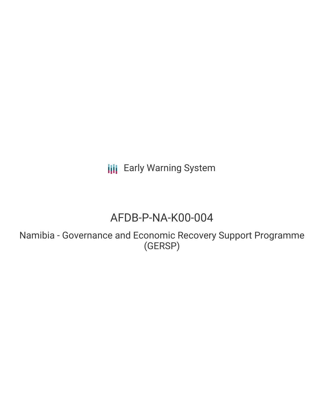**III** Early Warning System

# AFDB-P-NA-K00-004

Namibia - Governance and Economic Recovery Support Programme (GERSP)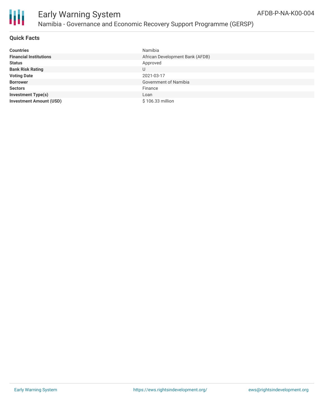

#### **Quick Facts**

| <b>Countries</b>               | Namibia                         |
|--------------------------------|---------------------------------|
| <b>Financial Institutions</b>  | African Development Bank (AFDB) |
| <b>Status</b>                  | Approved                        |
| <b>Bank Risk Rating</b>        | U                               |
| <b>Voting Date</b>             | 2021-03-17                      |
| <b>Borrower</b>                | Government of Namibia           |
| <b>Sectors</b>                 | Finance                         |
| <b>Investment Type(s)</b>      | Loan                            |
| <b>Investment Amount (USD)</b> | \$106.33 million                |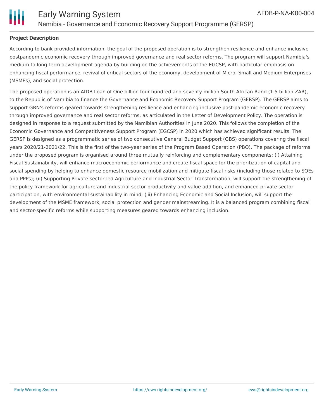

#### **Project Description**

According to bank provided information, the goal of the proposed operation is to strengthen resilience and enhance inclusive postpandemic economic recovery through improved governance and real sector reforms. The program will support Namibia's medium to long term development agenda by building on the achievements of the EGCSP, with particular emphasis on enhancing fiscal performance, revival of critical sectors of the economy, development of Micro, Small and Medium Enterprises (MSMEs), and social protection.

The proposed operation is an AfDB Loan of One billion four hundred and seventy million South African Rand (1.5 billion ZAR), to the Republic of Namibia to finance the Governance and Economic Recovery Support Program (GERSP). The GERSP aims to support GRN's reforms geared towards strengthening resilience and enhancing inclusive post-pandemic economic recovery through improved governance and real sector reforms, as articulated in the Letter of Development Policy. The operation is designed in response to a request submitted by the Namibian Authorities in June 2020. This follows the completion of the Economic Governance and Competitiveness Support Program (EGCSP) in 2020 which has achieved significant results. The GERSP is designed as a programmatic series of two consecutive General Budget Support (GBS) operations covering the fiscal years 2020/21-2021/22. This is the first of the two-year series of the Program Based Operation (PBO). The package of reforms under the proposed program is organised around three mutually reinforcing and complementary components: (i) Attaining Fiscal Sustainability, will enhance macroeconomic performance and create fiscal space for the prioritization of capital and social spending by helping to enhance domestic resource mobilization and mitigate fiscal risks (including those related to SOEs and PPPs); (ii) Supporting Private sector-led Agriculture and Industrial Sector Transformation, will support the strengthening of the policy framework for agriculture and industrial sector productivity and value addition, and enhanced private sector participation, with environmental sustainability in mind; (iii) Enhancing Economic and Social Inclusion, will support the development of the MSME framework, social protection and gender mainstreaming. It is a balanced program combining fiscal and sector-specific reforms while supporting measures geared towards enhancing inclusion.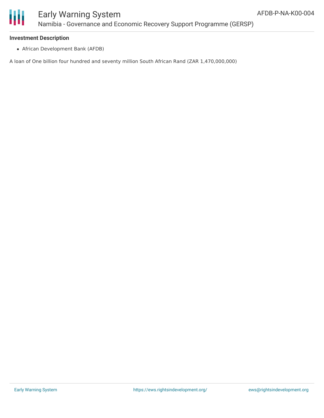

### Early Warning System Namibia - Governance and Economic Recovery Support Programme (GERSP)

#### **Investment Description**

African Development Bank (AFDB)

A loan of One billion four hundred and seventy million South African Rand (ZAR 1,470,000,000)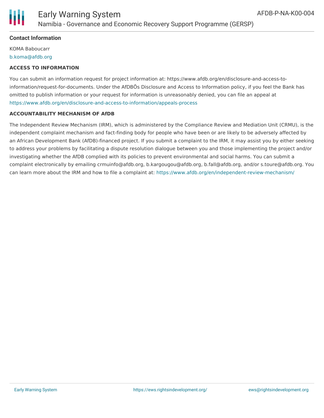

#### **Contact Information**

KOMA Baboucarr [b.koma@afdb.org](mailto:b.koma@afdb.org)

#### **ACCESS TO INFORMATION**

You can submit an information request for project information at: https://www.afdb.org/en/disclosure-and-access-toinformation/request-for-documents. Under the AfDBÕs Disclosure and Access to Information policy, if you feel the Bank has omitted to publish information or your request for information is unreasonably denied, you can file an appeal at <https://www.afdb.org/en/disclosure-and-access-to-information/appeals-process>

#### **ACCOUNTABILITY MECHANISM OF AfDB**

The Independent Review Mechanism (IRM), which is administered by the Compliance Review and Mediation Unit (CRMU), is the independent complaint mechanism and fact-finding body for people who have been or are likely to be adversely affected by an African Development Bank (AfDB)-financed project. If you submit a complaint to the IRM, it may assist you by either seeking to address your problems by facilitating a dispute resolution dialogue between you and those implementing the project and/or investigating whether the AfDB complied with its policies to prevent environmental and social harms. You can submit a complaint electronically by emailing crmuinfo@afdb.org, b.kargougou@afdb.org, b.fall@afdb.org, and/or s.toure@afdb.org. You can learn more about the IRM and how to file a complaint at: <https://www.afdb.org/en/independent-review-mechanism/>